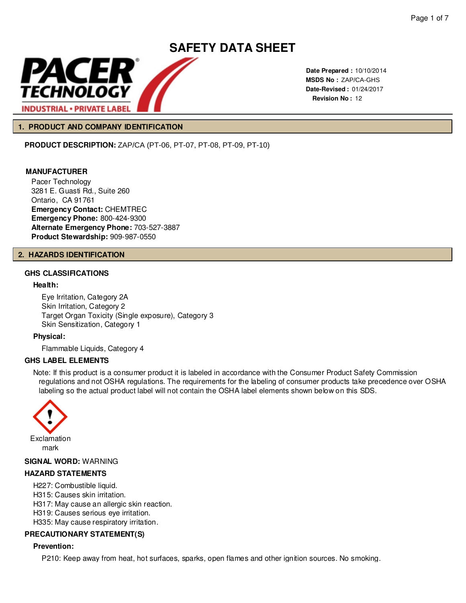

**Date Prepared :** 10/10/2014 **MSDS No :**  ZAP/CA-GHS **Date-Revised :** 01/24/2017 **Revision No :** 12

#### **1. PRODUCT AND COMPANY IDENTIFICATION**

**PRODUCT DESCRIPTION:** ZAP/CA (PT-06, PT-07, PT-08, PT-09, PT-10)

#### **MANUFACTURER**

Pacer Technology 3281 E. Guasti Rd., Suite 260 Ontario, CA 91761 **Emergency Contact:** CHEMTREC **Emergency Phone:** 800-424-9300 **Alternate Emergency Phone:** 703-527-3887 **Product Stewardship:** 909-987-0550

#### **2. HAZARDS IDENTIFICATION**

#### **GHS CLASSIFICATIONS**

#### **Health:**

Eye Irritation, Category 2A Skin Irritation, Category 2 Target Organ Toxicity (Single exposure), Category 3 Skin Sensitization, Category 1

**Physical:**

Flammable Liquids, Category 4

#### **GHS LABEL ELEMENTS**

Note: If this product is a consumer product it is labeled in accordance with the Consumer Product Safety Commission regulations and not OSHA regulations. The requirements for the labeling of consumer products take precedence over OSHA labeling so the actual product label will not contain the OSHA label elements shown below on this SDS.



#### **SIGNAL WORD:** WARNING

#### **HAZARD STATEMENTS**

- H227: Combustible liquid.
- H315: Causes skin irritation.
- H317: May cause an allergic skin reaction.
- H319: Causes serious eye irritation.
- H335: May cause respiratory irritation.

#### **PRECAUTIONARY STATEMENT(S)**

#### **Prevention:**

P210: Keep away from heat, hot surfaces, sparks, open flames and other ignition sources. No smoking.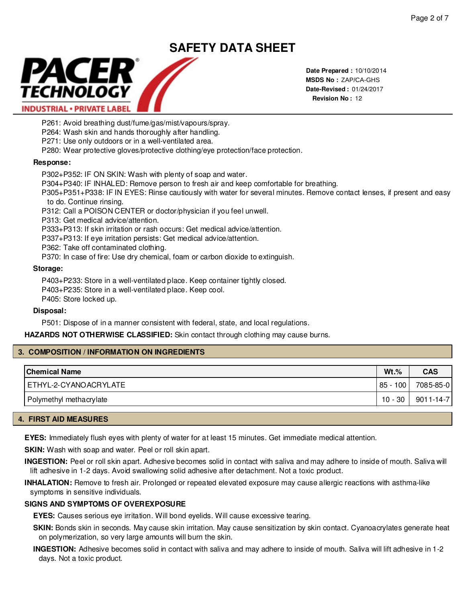

**Date Prepared :** 10/10/2014 **MSDS No :**  ZAP/CA-GHS**Date-Revised :** 01/24/2017 **Revision No :** 12

P261: Avoid breathing dust/fume/gas/mist/vapours/spray.

P264: Wash skin and hands thoroughly after handling.

P271: Use only outdoors or in a well-ventilated area.

P280: Wear protective gloves/protective clothing/eye protection/face protection.

#### **Response:**

P302+P352: IF ON SKIN: Wash with plenty of soap and water.

P304+P340: IF INHALED: Remove person to fresh air and keep comfortable for breathing.

P305+P351+P338: IF IN EYES: Rinse cautiously with water for several minutes. Remove contact lenses, if present and easy to do. Continue rinsing.

P312: Call a POISON CENTER or doctor/physician if you feel unwell.

P313: Get medical advice/attention.

P333+P313: If skin irritation or rash occurs: Get medical advice/attention.

P337+P313: If eye irritation persists: Get medical advice/attention.

P362: Take off contaminated clothing.

P370: In case of fire: Use dry chemical, foam or carbon dioxide to extinguish.

#### **Storage:**

P403+P233: Store in a well-ventilated place. Keep container tightly closed. P403+P235: Store in a well-ventilated place. Keep cool. P405: Store locked up.

#### **Disposal:**

P501: Dispose of in a manner consistent with federal, state, and local regulations.

**HAZARDS NOT OTHERWISE CLASSIFIED:** Skin contact through clothing may cause burns.

#### **3. COMPOSITION / INFORMATION ON INGREDIENTS**

| <b>Chemical Name</b>    | $Wt.\%$  | <b>CAS</b>      |
|-------------------------|----------|-----------------|
| ETHYL-2-CYANOACRYLATE   | 85 - 100 | 7085-85-0       |
| Polymethyl methacrylate | 10 - 30  | $9011 - 14 - 7$ |

#### **4. FIRST AID MEASURES**

**EYES:** Immediately flush eyes with plenty of water for at least 15 minutes. Get immediate medical attention.

**SKIN:** Wash with soap and water. Peel or roll skin apart.

**INGESTION:** Peel or roll skin apart. Adhesive becomes solid in contact with saliva and may adhere to inside of mouth. Saliva will lift adhesive in 1-2 days. Avoid swallowing solid adhesive after detachment. Not a toxic product.

**INHALATION:** Remove to fresh air. Prolonged or repeated elevated exposure may cause allergic reactions with asthma-like symptoms in sensitive individuals.

#### **SIGNS AND SYMPTOMS OF OVEREXPOSURE**

**EYES:** Causes serious eye irritation. Will bond eyelids. Will cause excessive tearing.

**SKIN:** Bonds skin in seconds. May cause skin irritation. May cause sensitization by skin contact. Cyanoacrylates generate heat on polymerization, so very large amounts will burn the skin.

**INGESTION:** Adhesive becomes solid in contact with saliva and may adhere to inside of mouth. Saliva will lift adhesive in 1-2 days. Not a toxic product.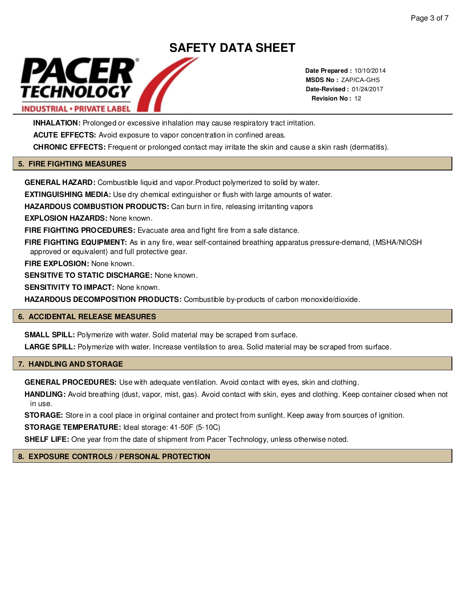

**Date Prepared :** 10/10/2014 **MSDS No :**  ZAP/CA-GHS**Date-Revised :** 01/24/2017 **Revision No :** 12

**INHALATION:** Prolonged or excessive inhalation may cause respiratory tract irritation.

ACUTE EFFECTS: Avoid exposure to vapor concentration in confined areas.

**CHRONIC EFFECTS:** Frequent or prolonged contact may irritate the skin and cause a skin rash (dermatitis).

#### **5. FIRE FIGHTING MEASURES**

**GENERAL HAZARD:** Combustible liquid and vapor.Product polymerized to solid by water.

**EXTINGUISHING MEDIA:** Use dry chemical extinguisher or flush with large amounts of water.

**HAZARDOUS COMBUSTION PRODUCTS:** Can burn in fire, releasing irritanting vapors

**EXPLOSION HAZARDS:** None known.

**FIRE FIGHTING PROCEDURES:** Evacuate area and fight fire from a safe distance.

**FIRE FIGHTING EQUIPMENT:** As in any fire, wear self-contained breathing apparatus pressure-demand, (MSHA/NIOSH approved or equivalent) and full protective gear.

**FIRE EXPLOSION:** None known.

**SENSITIVE TO STATIC DISCHARGE:** None known.

**SENSITIVITY TO IMPACT:** None known.

**HAZARDOUS DECOMPOSITION PRODUCTS:** Combustible by-products of carbon monoxide/dioxide.

#### **6. ACCIDENTAL RELEASE MEASURES**

**SMALL SPILL:** Polymerize with water. Solid material may be scraped from surface.

**LARGE SPILL:** Polymerize with water. Increase ventilation to area. Solid material may be scraped from surface.

#### **7. HANDLING AND STORAGE**

**GENERAL PROCEDURES:** Use with adequate ventilation. Avoid contact with eyes, skin and clothing.

**HANDLING:** Avoid breathing (dust, vapor, mist, gas). Avoid contact with skin, eyes and clothing. Keep container closed when not in use.

**STORAGE:** Store in a cool place in original container and protect from sunlight. Keep away from sources of ignition.

**STORAGE TEMPERATURE:** Ideal storage: 41-50F (5-10C)

**SHELF LIFE:** One year from the date of shipment from Pacer Technology, unless otherwise noted.

#### **8. EXPOSURE CONTROLS / PERSONAL PROTECTION**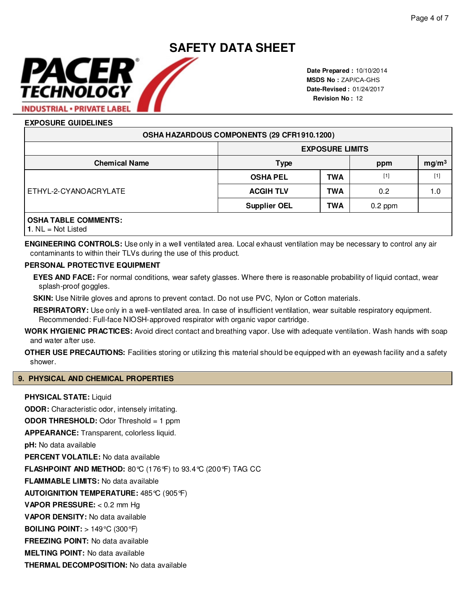# **SAFETY DATA SHEET** PACER

**Date Prepared :** 10/10/2014 **MSDS No :**  ZAP/CA-GHS **Date-Revised :** 01/24/2017 **Revision No :** 12

### **EXPOSURE GUIDELINES**

TECHNOLOGY

**INDUSTRIAL · PRIVATE LABEL** 

| OSHA HAZARDOUS COMPONENTS (29 CFR1910.1200) |                     |                        |                          |                                                                                                                                                                                |  |
|---------------------------------------------|---------------------|------------------------|--------------------------|--------------------------------------------------------------------------------------------------------------------------------------------------------------------------------|--|
|                                             |                     | <b>EXPOSURE LIMITS</b> |                          |                                                                                                                                                                                |  |
| <b>Chemical Name</b>                        | <b>Type</b>         |                        | mg/m <sup>3</sup><br>ppm |                                                                                                                                                                                |  |
| ETHYL-2-CYANOACRYLATE                       | <b>OSHA PEL</b>     | <b>TWA</b>             | $[1]$                    | $[1] % \includegraphics[width=0.9\columnwidth]{figures/fig_10.pdf} \caption{The figure shows the number of times of the estimators in the left and right.} \label{fig:time} %$ |  |
|                                             | <b>ACGIH TLV</b>    | <b>TWA</b>             | 0.2                      | 1.0                                                                                                                                                                            |  |
|                                             | <b>Supplier OEL</b> | <b>TWA</b>             | $0.2$ ppm                |                                                                                                                                                                                |  |
| <b>OSHA TABLE COMMENTS:</b>                 |                     |                        |                          |                                                                                                                                                                                |  |

**1**. NL = Not Listed

**ENGINEERING CONTROLS:** Use only in a well ventilated area. Local exhaust ventilation may be necessary to control any air contaminants to within their TLVs during the use of this product.

#### **PERSONAL PROTECTIVE EQUIPMENT**

**EYES AND FACE:** For normal conditions, wear safety glasses. Where there is reasonable probability of liquid contact, wear splash-proof goggles.

**SKIN:** Use Nitrile gloves and aprons to prevent contact. Do not use PVC, Nylon or Cotton materials.

**RESPIRATORY:** Use only in a well-ventilated area. In case of insufficient ventilation, wear suitable respiratory equipment. Recommended: Full-face NIOSH-approved respirator with organic vapor cartridge.

**WORK HYGIENIC PRACTICES:** Avoid direct contact and breathing vapor. Use with adequate ventilation. Wash hands with soap and water after use.

**OTHER USE PRECAUTIONS:** Facilities storing or utilizing this material should be equipped with an eyewash facility and a safety shower.

#### **9. PHYSICAL AND CHEMICAL PROPERTIES**

**THERMAL DECOMPOSITION:** No data available

#### **PHYSICAL STATE:** Liquid

**ODOR:** Characteristic odor, intensely irritating. **ODOR THRESHOLD:** Odor Threshold = 1 ppm **APPEARANCE:** Transparent, colorless liquid.**pH:** No data available **PERCENT VOLATILE:** No data available **FLASHPOINT AND METHOD:** 80°C (176°F) to 93.4°C (200°F) TAG CC **FLAMMABLE LIMITS:** No data available **AUTOIGNITION TEMPERATURE:** 485°C (905°F) **VAPOR PRESSURE:** < 0.2 mm Hg **VAPOR DENSITY:** No data available **BOILING POINT:** > 149°C (300°F) **FREEZING POINT:** No data available **MELTING POINT:** No data available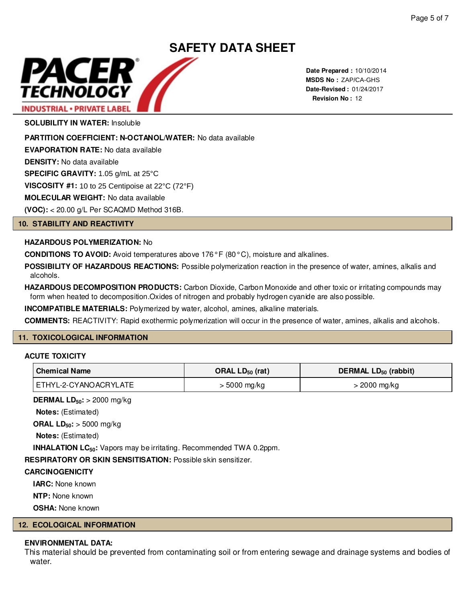

**Date Prepared :** 10/10/2014 **MSDS No : ZAP/CA-GHS Date-Revised :** 01/24/2017 **Revision No :** 12

**SOLUBILITY IN WATER:** Insoluble

**PARTITION COEFFICIENT: N-OCTANOL/WATER:** No data available

**EVAPORATION RATE:** No data available

**DENSITY:** No data available

**SPECIFIC GRAVITY:** 1.05 g/mL at 25°C

**VISCOSITY #1: 10 to 25 Centipoise at 22°C (72°F)** 

**MOLECULAR WEIGHT:** No data available

**(VOC):** < 20.00 g/L Per SCAQMD Method 316B.

#### **10. STABILITY AND REACTIVITY**

#### **HAZARDOUS POLYMERIZATION:** No

**CONDITIONS TO AVOID:** Avoid temperatures above 176° F (80° C), moisture and alkalines.

**POSSIBILITY OF HAZARDOUS REACTIONS:** Possible polymerization reaction in the presence of water, amines, alkalis and alcohols.

**HAZARDOUS DECOMPOSITION PRODUCTS:** Carbon Dioxide, Carbon Monoxide and other toxic or irritating compounds may form when heated to decomposition.Oxides of nitrogen and probably hydrogen cyanide are also possible.

**INCOMPATIBLE MATERIALS:** Polymerized by water, alcohol, amines, alkaline materials.

**COMMENTS:** REACTIVITY: Rapid exothermic polymerization will occur in the presence of water, amines, alkalis and alcohols.

#### **11. TOXICOLOGICAL INFORMATION**

#### **ACUTE TOXICITY**

| <b>Chemical Name</b>  | ORAL $LD_{50}$ (rat) | DERMAL $LD_{50}$ (rabbit) |
|-----------------------|----------------------|---------------------------|
| ETHYL-2-CYANOACRYLATE | > 5000 mg/kg         | > 2000 mg/kg              |

**DERMAL LD50:** > 2000 mg/kg

**Notes:** (Estimated)

**ORAL LD50:** > 5000 mg/kg

**Notes:** (Estimated)

**INHALATION LC50:** Vapors may be irritating. Recommended TWA 0.2ppm.

**RESPIRATORY OR SKIN SENSITISATION:** Possible skin sensitizer.

#### **CARCINOGENICITY**

**IARC:** None known

**NTP:** None known

**OSHA:** None known

#### **12. ECOLOGICAL INFORMATION**

#### **ENVIRONMENTAL DATA:**

This material should be prevented from contaminating soil or from entering sewage and drainage systems and bodies of water.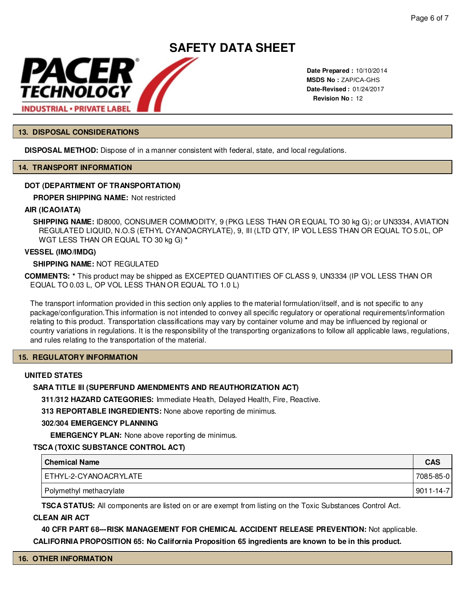

**Date Prepared :** 10/10/2014 **MSDS No : ZAP/CA-GHS Date-Revised :** 01/24/2017 **Revision No :** 12

#### **13. DISPOSAL CONSIDERATIONS**

**DISPOSAL METHOD:** Dispose of in a manner consistent with federal, state, and local regulations.

#### **14. TRANSPORT INFORMATION**

#### **DOT (DEPARTMENT OF TRANSPORTATION)**

**PROPER SHIPPING NAME:**

#### **AIR (ICAO/IATA)**

**SHIPPING NAME:** ID8000, CONSUMER COMMODITY, 9 (PKG LESS THAN OR EQUAL TO 30 kg G); or UN3334, AVIATION REGULATED LIQUID, N.O.S (ETHYL CYANOACRYLATE), 9, III (LTD QTY, IP VOL LESS THAN OR EQUAL TO 5.0L, OP WGT LESS THAN OR EQUAL TO 30 kg G) **\***

#### **VESSEL (IMO/IMDG)**

#### **SHIPPING NAME:** NOT REGULATED

**COMMENTS: \*** This product may be shipped as EXCEPTED QUANTITIES OF CLASS 9, UN3334 (IP VOL LESS THAN OR EQUAL TO 0.03 L, OP VOL LESS THAN OR EQUAL TO 1.0 L)

The transport information provided in this section only applies to the material formulation/itself, and is not specific to any package/configuration.This information is not intended to convey all specific regulatory or operational requirements/information relating to this product. Transportation classifications may vary by container volume and may be influenced by regional or country variations in regulations. It is the responsibility of the transporting organizations to follow all applicable laws, regulations, and rules relating to the transportation of the material.

#### **15. REGULATORY INFORMATION**

#### **UNITED STATES**

#### **SARA TITLE III (SUPERFUND AMENDMENTS AND REAUTHORIZATION ACT)**

**311/312 HAZARD CATEGORIES:** Immediate Health, Delayed Health, Fire, Reactive.

**313 REPORTABLE INGREDIENTS:** None above reporting de minimus.

#### **302/304 EMERGENCY PLANNING**

**EMERGENCY PLAN:** None above reporting de minimus.

#### **TSCA (TOXIC SUBSTANCE CONTROL ACT)**

| Chemical Name           | <b>CAS</b>      |
|-------------------------|-----------------|
| ETHYL-2-CYANOACRYLATE   | 7085-85-0       |
| Polymethyl methacrylate | $9011 - 14 - 7$ |

**TSCA STATUS:** All components are listed on or are exempt from listing on the Toxic Substances Control Act.

#### **CLEAN AIR ACT**

**40 CFR PART 68---RISK MANAGEMENT FOR CHEMICAL ACCIDENT RELEASE PREVENTION:** Not applicable.

**CALIFORNIA PROPOSITION 65: No California Proposition 65 ingredients are known to be in this product.**